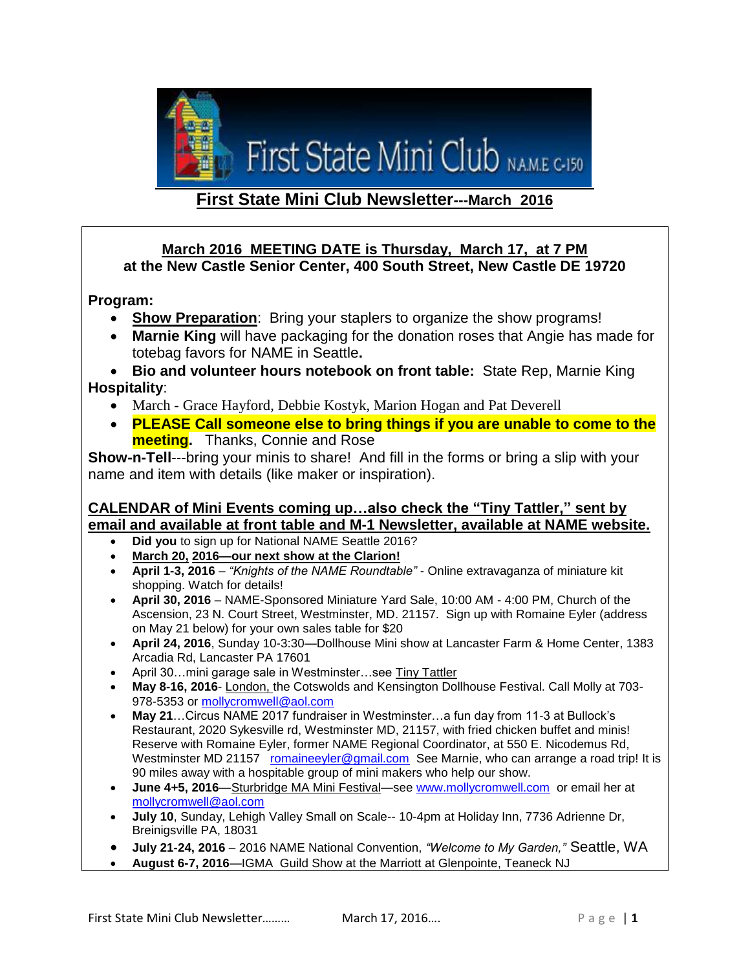

# **First State Mini Club Newsletter---March 2016**

#### **March 2016 MEETING DATE is Thursday, March 17, at 7 PM at the New Castle Senior Center, 400 South Street, New Castle DE 19720**

#### **Program:**

- **Show Preparation**: Bring your staplers to organize the show programs!
- **Marnie King** will have packaging for the donation roses that Angie has made for totebag favors for NAME in Seattle**.**
- **Bio and volunteer hours notebook on front table:** State Rep, Marnie King **Hospitality**:
	- March Grace Hayford, Debbie Kostyk, Marion Hogan and Pat Deverell
	- **PLEASE Call someone else to bring things if you are unable to come to the meeting.** Thanks, Connie and Rose

**Show-n-Tell---**bring your minis to share! And fill in the forms or bring a slip with your name and item with details (like maker or inspiration).

#### **CALENDAR of Mini Events coming up…also check the "Tiny Tattler," sent by email and available at front table and M-1 Newsletter, available at NAME website.**

- **Did vou** to sign up for National NAME Seattle 2016?
- **March 20, 2016—our next show at the Clarion!**
- **April 1-3, 2016**  *"Knights of the NAME Roundtable"*  Online extravaganza of miniature kit shopping. Watch for details!
- **April 30, 2016**  NAME-Sponsored Miniature Yard Sale, 10:00 AM 4:00 PM, Church of the Ascension, 23 N. Court Street, Westminster, MD. 21157. Sign up with Romaine Eyler (address on May 21 below) for your own sales table for \$20
- **April 24, 2016**, Sunday 10-3:30—Dollhouse Mini show at Lancaster Farm & Home Center, 1383 Arcadia Rd, Lancaster PA 17601
- April 30…mini garage sale in Westminster…see Tiny Tattler
- **May 8-16, 2016** London, the Cotswolds and Kensington Dollhouse Festival. Call Molly at 703- 978-5353 or [mollycromwell@aol.com](mailto:mollycromwell@aol.com)
- **May 21**…Circus NAME 2017 fundraiser in Westminster…a fun day from 11-3 at Bullock's Restaurant, 2020 Sykesville rd, Westminster MD, 21157, with fried chicken buffet and minis! Reserve with Romaine Eyler, former NAME Regional Coordinator, at 550 E. Nicodemus Rd, Westminster MD 21157 [romaineeyler@gmail.com](mailto:romaineeyler@gmail.com) See Marnie, who can arrange a road trip! It is 90 miles away with a hospitable group of mini makers who help our show.
- **June 4+5, 2016**—Sturbridge MA Mini Festival—see [www.mollycromwell.com](http://www.mollycromwell.com/) or email her at [mollycromwell@aol.com](mailto:mollycromwell@aol.com)
- **July 10**, Sunday, Lehigh Valley Small on Scale-- 10-4pm at Holiday Inn, 7736 Adrienne Dr, Breinigsville PA, 18031
- **July 21-24, 2016**  2016 NAME National Convention, *"Welcome to My Garden,"* Seattle, WA
- **August 6-7, 2016**—IGMA Guild Show at the Marriott at Glenpointe, Teaneck NJ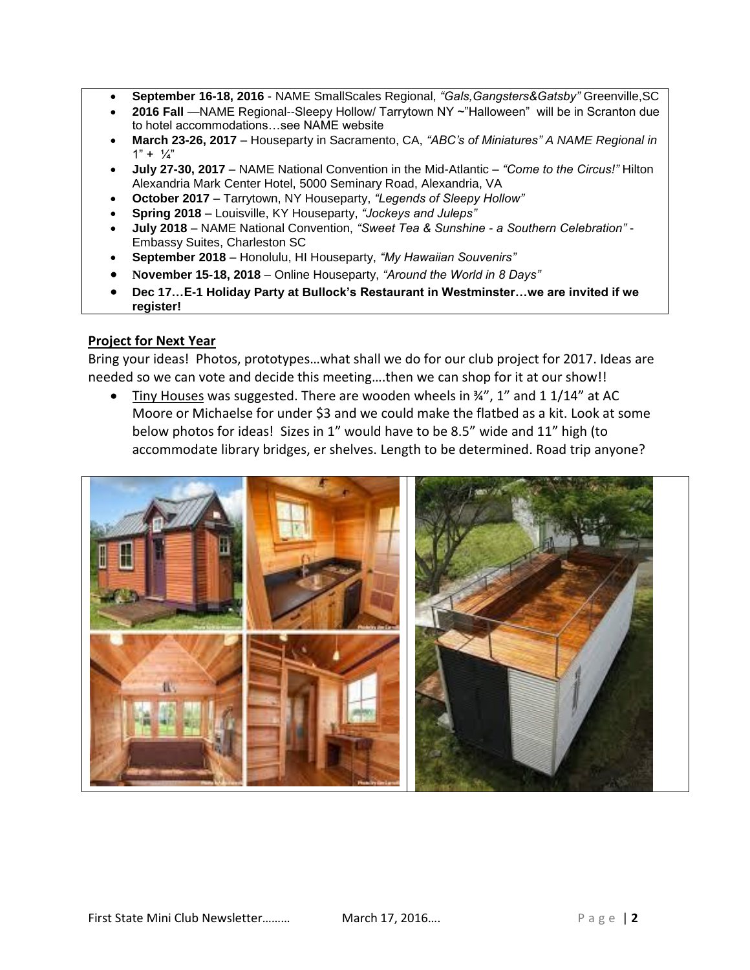- **September 16-18, 2016**  NAME SmallScales Regional, *"Gals,Gangsters&Gatsby"* Greenville,SC
- **2016 Fall** —NAME Regional--Sleepy Hollow/ Tarrytown NY ~"Halloween" will be in Scranton due to hotel accommodations…see NAME website
- **March 23-26, 2017**  Houseparty in Sacramento, CA, *"ABC's of Miniatures" A NAME Regional in*   $1" + \frac{1}{4"$
- **July 27-30, 2017**  NAME National Convention in the Mid-Atlantic *"Come to the Circus!"* Hilton Alexandria Mark Center Hotel, 5000 Seminary Road, Alexandria, VA
- **October 2017**  Tarrytown, NY Houseparty, *"Legends of Sleepy Hollow"*
- **Spring 2018**  Louisville, KY Houseparty, *"Jockeys and Juleps"*
- **July 2018**  NAME National Convention, *"Sweet Tea & Sunshine - a Southern Celebration"*  Embassy Suites, Charleston SC
- **September 2018**  Honolulu, HI Houseparty, *"My Hawaiian Souvenirs"*
- **November 15-18, 2018** Online Houseparty, *"Around the World in 8 Days"*
- **Dec 17…E-1 Holiday Party at Bullock's Restaurant in Westminster…we are invited if we register!**

#### **Project for Next Year**

Bring your ideas! Photos, prototypes…what shall we do for our club project for 2017. Ideas are needed so we can vote and decide this meeting….then we can shop for it at our show!!

• Tiny Houses was suggested. There are wooden wheels in  $\frac{3}{4}$ , 1" and 1 1/14" at AC Moore or Michaelse for under \$3 and we could make the flatbed as a kit. Look at some below photos for ideas! Sizes in 1" would have to be 8.5" wide and 11" high (to accommodate library bridges, er shelves. Length to be determined. Road trip anyone?

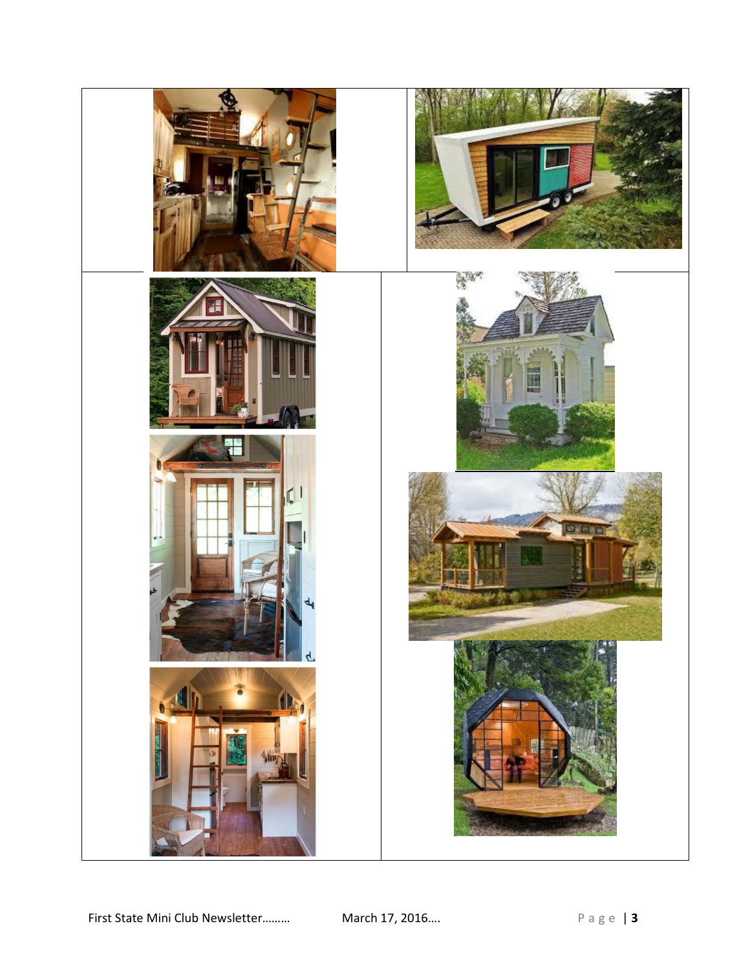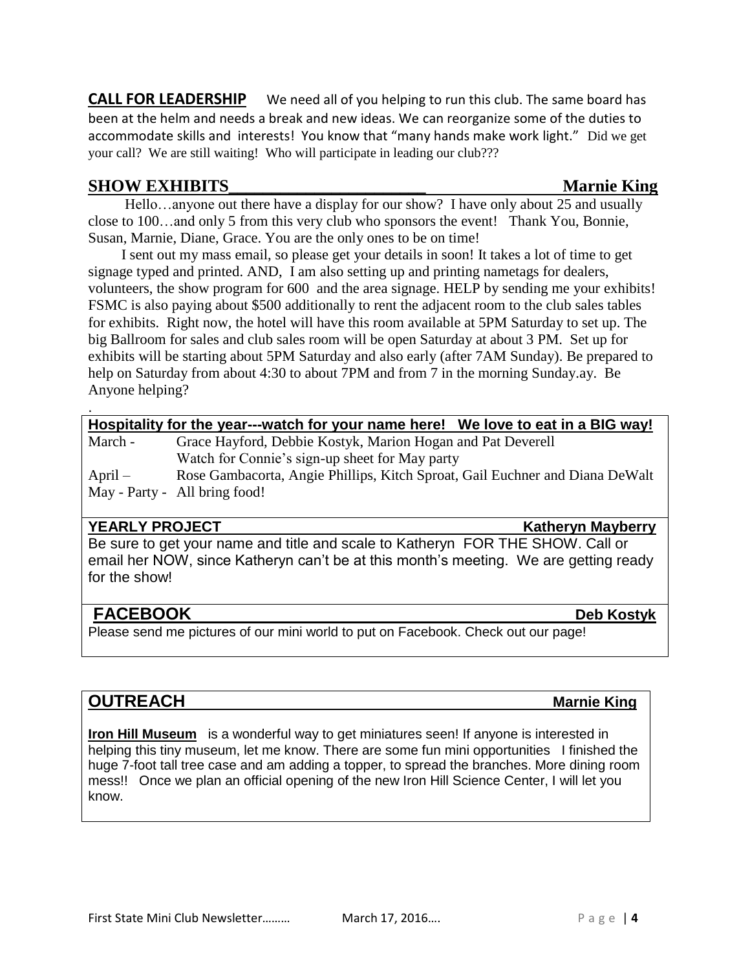**CALL FOR LEADERSHIP** We need all of you helping to run this club. The same board has been at the helm and needs a break and new ideas. We can reorganize some of the duties to accommodate skills and interests! You know that "many hands make work light." Did we get your call? We are still waiting! Who will participate in leading our club???

### **SHOW EXHIBITS** Marnie King

 Hello…anyone out there have a display for our show? I have only about 25 and usually close to 100…and only 5 from this very club who sponsors the event! Thank You, Bonnie, Susan, Marnie, Diane, Grace. You are the only ones to be on time!

 I sent out my mass email, so please get your details in soon! It takes a lot of time to get signage typed and printed. AND, I am also setting up and printing nametags for dealers, volunteers, the show program for 600 and the area signage. HELP by sending me your exhibits! FSMC is also paying about \$500 additionally to rent the adjacent room to the club sales tables for exhibits. Right now, the hotel will have this room available at 5PM Saturday to set up. The big Ballroom for sales and club sales room will be open Saturday at about 3 PM. Set up for exhibits will be starting about 5PM Saturday and also early (after 7AM Sunday). Be prepared to help on Saturday from about 4:30 to about 7PM and from 7 in the morning Sunday.ay. Be Anyone helping?

|          | Hospitality for the year---watch for your name here! We love to eat in a BIG way! |  |  |  |
|----------|-----------------------------------------------------------------------------------|--|--|--|
| March -  | Grace Hayford, Debbie Kostyk, Marion Hogan and Pat Deverell                       |  |  |  |
|          | Watch for Connie's sign-up sheet for May party                                    |  |  |  |
| $April-$ | Rose Gambacorta, Angie Phillips, Kitch Sproat, Gail Euchner and Diana DeWalt      |  |  |  |
|          | May - Party - All bring food!                                                     |  |  |  |

#### **YEARLY PROJECT And Account Contract Contract Contract Contract Contract Contract Contract Contract Contract Contract Contract Contract Contract Contract Contract Contract Contract Contract Contract Contract Contract Contr**

Be sure to get your name and title and scale to Katheryn FOR THE SHOW. Call or email her NOW, since Katheryn can't be at this month's meeting. We are getting ready for the show!

## **FACEBOOK Deb Kostyk**

Please send me pictures of our mini world to put on Facebook. Check out our page!

# **OUTREACH Marrie King**

**Iron Hill Museum** is a wonderful way to get miniatures seen! If anyone is interested in helping this tiny museum, let me know. There are some fun mini opportunities I finished the huge 7-foot tall tree case and am adding a topper, to spread the branches. More dining room mess!! Once we plan an official opening of the new Iron Hill Science Center, I will let you know.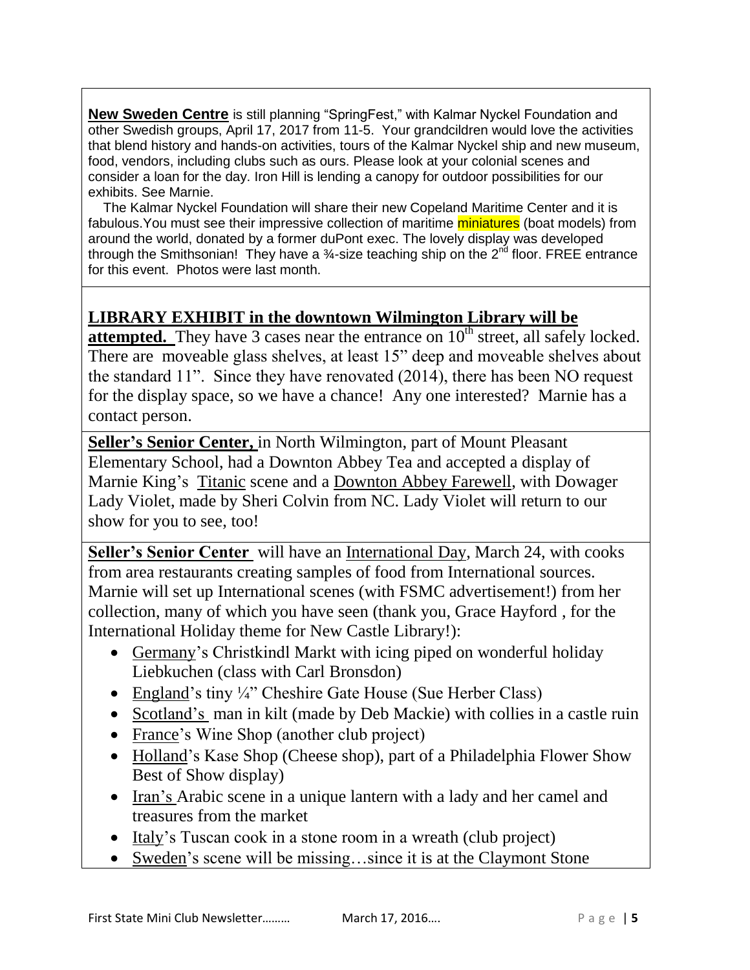**New Sweden Centre** is still planning "SpringFest," with Kalmar Nyckel Foundation and other Swedish groups, April 17, 2017 from 11-5. Your grandcildren would love the activities that blend history and hands-on activities, tours of the Kalmar Nyckel ship and new museum, food, vendors, including clubs such as ours. Please look at your colonial scenes and consider a loan for the day. Iron Hill is lending a canopy for outdoor possibilities for our exhibits. See Marnie.

 The Kalmar Nyckel Foundation will share their new Copeland Maritime Center and it is fabulous. You must see their impressive collection of maritime **miniatures** (boat models) from around the world, donated by a former duPont exec. The lovely display was developed through the Smithsonian! They have a 34-size teaching ship on the 2<sup>nd</sup> floor. FREE entrance for this event. Photos were last month.

# **LIBRARY EXHIBIT in the downtown Wilmington Library will be**

attempted. They have 3 cases near the entrance on 10<sup>th</sup> street, all safely locked. There are moveable glass shelves, at least 15" deep and moveable shelves about the standard 11". Since they have renovated (2014), there has been NO request for the display space, so we have a chance! Any one interested? Marnie has a contact person.

**Seller's Senior Center,** in North Wilmington, part of Mount Pleasant Elementary School, had a Downton Abbey Tea and accepted a display of Marnie King's Titanic scene and a Downton Abbey Farewell, with Dowager Lady Violet, made by Sheri Colvin from NC. Lady Violet will return to our show for you to see, too!

**Seller's Senior Center** will have an International Day, March 24, with cooks from area restaurants creating samples of food from International sources. Marnie will set up International scenes (with FSMC advertisement!) from her collection, many of which you have seen (thank you, Grace Hayford , for the International Holiday theme for New Castle Library!):

- Germany's Christkindl Markt with icing piped on wonderful holiday Liebkuchen (class with Carl Bronsdon)
- England's tiny  $\frac{1}{4}$ " Cheshire Gate House (Sue Herber Class)
- Scotland's man in kilt (made by Deb Mackie) with collies in a castle ruin
- France's Wine Shop (another club project)
- Holland's Kase Shop (Cheese shop), part of a Philadelphia Flower Show Best of Show display)
- Iran's Arabic scene in a unique lantern with a lady and her camel and treasures from the market
- Italy's Tuscan cook in a stone room in a wreath (club project)
- Sweden's scene will be missing...since it is at the Claymont Stone